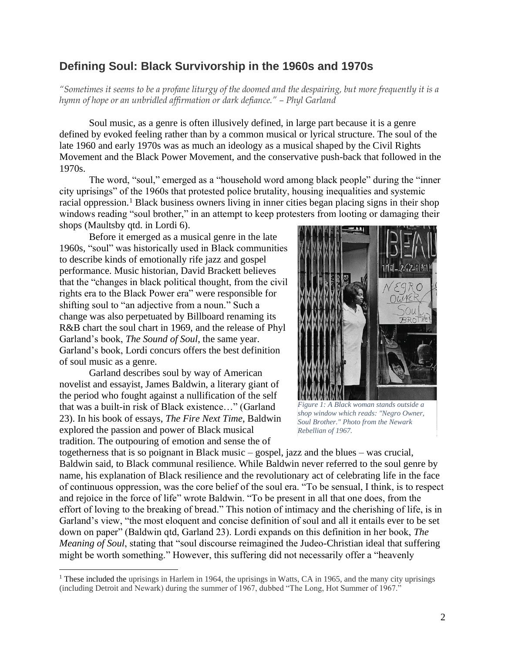## **Defining Soul: Black Survivorship in the 1960s and 1970s**

*"Sometimes it seems to be a profane liturgy of the doomed and the despairing, but more frequently it is a hymn of hope or an unbridled affirmation or dark defiance." – Phyl Garland* 

Soul music, as a genre is often illusively defined, in large part because it is a genre defined by evoked feeling rather than by a common musical or lyrical structure. The soul of the late 1960 and early 1970s was as much an ideology as a musical shaped by the Civil Rights Movement and the Black Power Movement, and the conservative push-back that followed in the 1970s.

The word, "soul," emerged as a "household word among black people" during the "inner city uprisings" of the 1960s that protested police brutality, housing inequalities and systemic racial oppression.<sup>1</sup> Black business owners living in inner cities began placing signs in their shop windows reading "soul brother," in an attempt to keep protesters from looting or damaging their shops (Maultsby qtd. in Lordi 6).

Before it emerged as a musical genre in the late 1960s, "soul" was historically used in Black communities to describe kinds of emotionally rife jazz and gospel performance. Music historian, David Brackett believes that the "changes in black political thought, from the civil rights era to the Black Power era" were responsible for shifting soul to "an adjective from a noun." Such a change was also perpetuated by Billboard renaming its R&B chart the soul chart in 1969, and the release of Phyl Garland's book, *The Sound of Soul*, the same year. Garland's book, Lordi concurs offers the best definition of soul music as a genre.

Garland describes soul by way of American novelist and essayist, James Baldwin, a literary giant of the period who fought against a nullification of the self that was a built-in risk of Black existence…" (Garland 23). In his book of essays, *The Fire Next Time*, Baldwin explored the passion and power of Black musical tradition. The outpouring of emotion and sense the of



*Figure 1: A Black woman stands outside a shop window which reads: "Negro Owner, Soul Brother." Photo from the Newark Rebellian of 1967.*

togetherness that is so poignant in Black music – gospel, jazz and the blues – was crucial, Baldwin said, to Black communal resilience. While Baldwin never referred to the soul genre by name, his explanation of Black resilience and the revolutionary act of celebrating life in the face of continuous oppression, was the core belief of the soul era. "To be sensual, I think, is to respect and rejoice in the force of life" wrote Baldwin. "To be present in all that one does, from the effort of loving to the breaking of bread." This notion of intimacy and the cherishing of life, is in Garland's view, "the most eloquent and concise definition of soul and all it entails ever to be set down on paper" (Baldwin qtd, Garland 23). Lordi expands on this definition in her book, *The Meaning of Soul*, stating that "soul discourse reimagined the Judeo-Christian ideal that suffering might be worth something." However, this suffering did not necessarily offer a "heavenly

<sup>&</sup>lt;sup>1</sup> These included the uprisings in Harlem in 1964, the uprisings in Watts, CA in 1965, and the many city uprisings (including Detroit and Newark) during the summer of 1967, dubbed "The Long, Hot Summer of 1967."